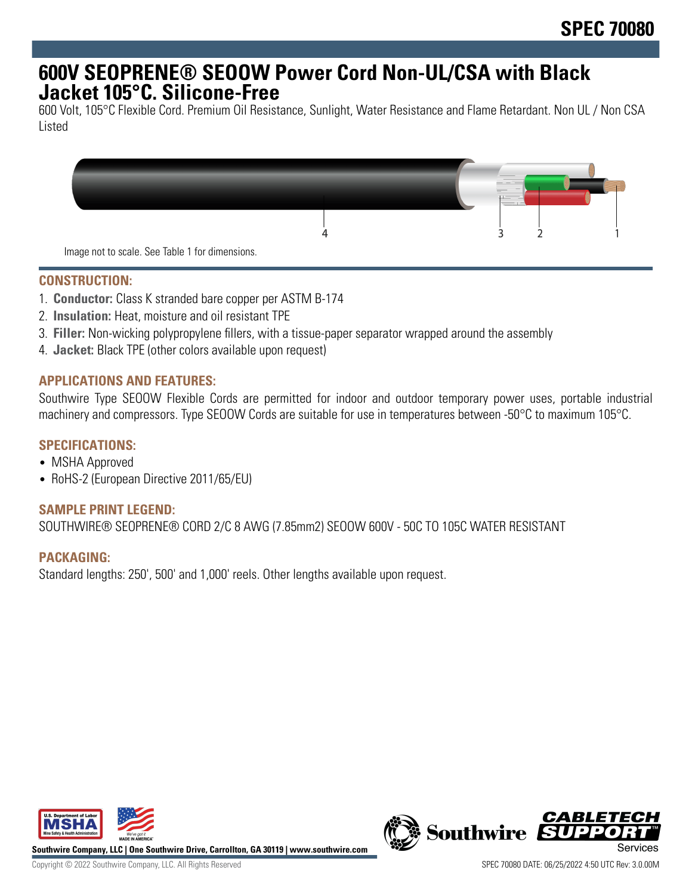# **600V SEOPRENE® SEOOW Power Cord Non-UL/CSA with Black Jacket 105°C. Silicone-Free**

600 Volt, 105°C Flexible Cord. Premium Oil Resistance, Sunlight, Water Resistance and Flame Retardant. Non UL / Non CSA Listed



# **CONSTRUCTION:**

- 1. **Conductor:** Class K stranded bare copper per ASTM B-174
- 2. **Insulation:** Heat, moisture and oil resistant TPE
- 3. **Filler:** Non-wicking polypropylene fillers, with a tissue-paper separator wrapped around the assembly
- 4. **Jacket:** Black TPE (other colors available upon request)

# **APPLICATIONS AND FEATURES:**

Southwire Type SEOOW Flexible Cords are permitted for indoor and outdoor temporary power uses, portable industrial machinery and compressors. Type SEOOW Cords are suitable for use in temperatures between -50°C to maximum 105°C.

#### **SPECIFICATIONS:**

- MSHA Approved
- RoHS-2 (European Directive 2011/65/EU)

# **SAMPLE PRINT LEGEND:**

SOUTHWIRE® SEOPRENE® CORD 2/C 8 AWG (7.85mm2) SEOOW 600V - 50C TO 105C WATER RESISTANT

#### **PACKAGING:**

Standard lengths: 250', 500' and 1,000' reels. Other lengths available upon request.



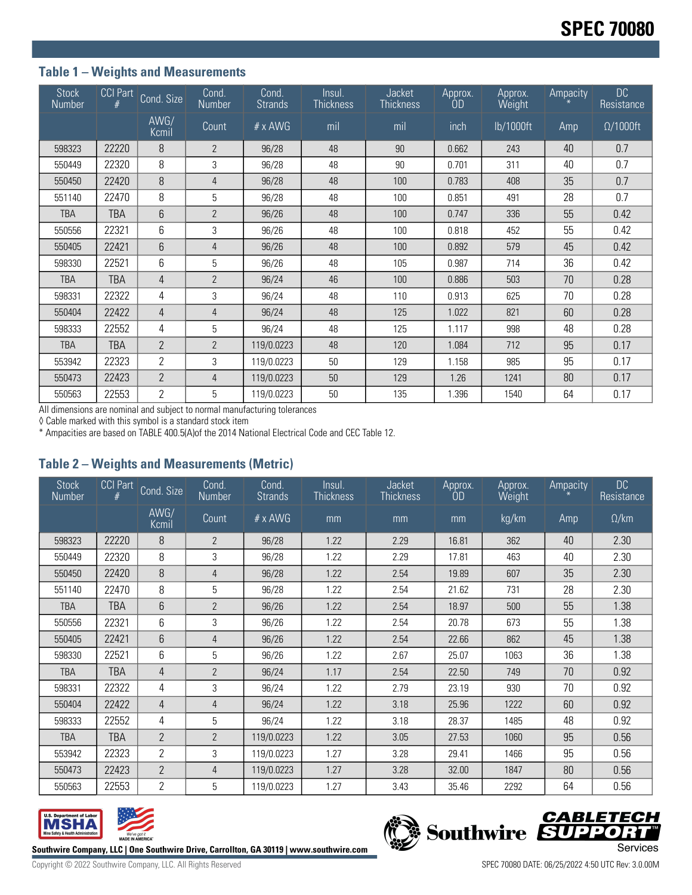# **Table 1 – Weights and Measurements**

| <b>Stock</b><br>Number | CCI Part   | Cond. Size     | Cond.<br>Number | Cond.<br><b>Strands</b> | Insul.<br><b>Thickness</b> | Jacket<br><b>Thickness</b> | Approx.<br>OD | Approx.<br>Weight | Ampacity | DC<br>Resistance |
|------------------------|------------|----------------|-----------------|-------------------------|----------------------------|----------------------------|---------------|-------------------|----------|------------------|
|                        |            | AWG/<br>Kcmil  | Count           | $# \times$ AWG          | mil                        | mil                        | inch          | lb/1000ft         | Amp      | $\Omega/1000$ ft |
| 598323                 | 22220      | 8              | $\overline{2}$  | 96/28                   | 48                         | 90                         | 0.662         | 243               | 40       | 0.7              |
| 550449                 | 22320      | 8              | 3               | 96/28                   | 48                         | 90                         | 0.701         | 311               | 40       | 0.7              |
| 550450                 | 22420      | 8              | 4               | 96/28                   | 48                         | 100                        | 0.783         | 408               | 35       | 0.7              |
| 551140                 | 22470      | 8              | 5               | 96/28                   | 48                         | 100                        | 0.851         | 491               | 28       | 0.7              |
| <b>TBA</b>             | TBA        | 6              | $\overline{2}$  | 96/26                   | 48                         | 100                        | 0.747         | 336               | 55       | 0.42             |
| 550556                 | 22321      | 6              | 3               | 96/26                   | 48                         | 100                        | 0.818         | 452               | 55       | 0.42             |
| 550405                 | 22421      | 6              | $\overline{4}$  | 96/26                   | 48                         | 100                        | 0.892         | 579               | 45       | 0.42             |
| 598330                 | 22521      | 6              | 5               | 96/26                   | 48                         | 105                        | 0.987         | 714               | 36       | 0.42             |
| <b>TBA</b>             | <b>TBA</b> | 4              | $\overline{2}$  | 96/24                   | 46                         | 100                        | 0.886         | 503               | 70       | 0.28             |
| 598331                 | 22322      | 4              | 3               | 96/24                   | 48                         | 110                        | 0.913         | 625               | 70       | 0.28             |
| 550404                 | 22422      | 4              | $\overline{4}$  | 96/24                   | 48                         | 125                        | 1.022         | 821               | 60       | 0.28             |
| 598333                 | 22552      | 4              | 5               | 96/24                   | 48                         | 125                        | 1.117         | 998               | 48       | 0.28             |
| <b>TBA</b>             | TBA        | $\overline{2}$ | $\overline{2}$  | 119/0.0223              | 48                         | 120                        | 1.084         | 712               | 95       | 0.17             |
| 553942                 | 22323      | $\overline{2}$ | 3               | 119/0.0223              | 50                         | 129                        | 1.158         | 985               | 95       | 0.17             |
| 550473                 | 22423      | $\overline{2}$ | 4               | 119/0.0223              | 50                         | 129                        | 1.26          | 1241              | 80       | 0.17             |
| 550563                 | 22553      | 2              | 5               | 119/0.0223              | 50                         | 135                        | 1.396         | 1540              | 64       | 0.17             |

All dimensions are nominal and subject to normal manufacturing tolerances

◊ Cable marked with this symbol is a standard stock item

\* Ampacities are based on TABLE 400.5(A)of the 2014 National Electrical Code and CEC Table 12.

#### **Table 2 – Weights and Measurements (Metric)**

| <b>Stock</b><br>Number | <b>CCI Part</b> | Cond. Size     | Cond.<br>Number | Cond.<br><b>Strands</b> | Insul.<br><b>Thickness</b> | <b>Jacket</b><br><b>Thickness</b> | Approx.<br>OD | Approx.<br>Weight | Ampacity | <b>DC</b><br>Resistance |
|------------------------|-----------------|----------------|-----------------|-------------------------|----------------------------|-----------------------------------|---------------|-------------------|----------|-------------------------|
|                        |                 | AWG/<br>Kcmil  | Count           | # x AWG                 | mm                         | mm                                | mm            | kg/km             | Amp      | $\Omega$ /km            |
| 598323                 | 22220           | 8              | $\overline{2}$  | 96/28                   | 1.22                       | 2.29                              | 16.81         | 362               | 40       | 2.30                    |
| 550449                 | 22320           | 8              | 3               | 96/28                   | 1.22                       | 2.29                              | 17.81         | 463               | 40       | 2.30                    |
| 550450                 | 22420           | 8              | $\overline{4}$  | 96/28                   | 1.22                       | 2.54                              | 19.89         | 607               | 35       | 2.30                    |
| 551140                 | 22470           | 8              | 5               | 96/28                   | 1.22                       | 2.54                              | 21.62         | 731               | 28       | 2.30                    |
| TBA                    | TBA             | 6              | $\overline{2}$  | 96/26                   | 1.22                       | 2.54                              | 18.97         | 500               | 55       | 1.38                    |
| 550556                 | 22321           | 6              | 3               | 96/26                   | 1.22                       | 2.54                              | 20.78         | 673               | 55       | 1.38                    |
| 550405                 | 22421           | 6              | $\overline{4}$  | 96/26                   | 1.22                       | 2.54                              | 22.66         | 862               | 45       | 1.38                    |
| 598330                 | 22521           | 6              | 5               | 96/26                   | 1.22                       | 2.67                              | 25.07         | 1063              | 36       | 1.38                    |
| <b>TBA</b>             | <b>TBA</b>      | 4              | $\overline{2}$  | 96/24                   | 1.17                       | 2.54                              | 22.50         | 749               | 70       | 0.92                    |
| 598331                 | 22322           | 4              | 3               | 96/24                   | 1.22                       | 2.79                              | 23.19         | 930               | 70       | 0.92                    |
| 550404                 | 22422           | 4              | $\overline{4}$  | 96/24                   | 1.22                       | 3.18                              | 25.96         | 1222              | 60       | 0.92                    |
| 598333                 | 22552           | 4              | 5               | 96/24                   | 1.22                       | 3.18                              | 28.37         | 1485              | 48       | 0.92                    |
| <b>TBA</b>             | <b>TBA</b>      | $\overline{2}$ | $\overline{2}$  | 119/0.0223              | 1.22                       | 3.05                              | 27.53         | 1060              | 95       | 0.56                    |
| 553942                 | 22323           | $\overline{2}$ | 3               | 119/0.0223              | 1.27                       | 3.28                              | 29.41         | 1466              | 95       | 0.56                    |
| 550473                 | 22423           | $\overline{2}$ | $\overline{4}$  | 119/0.0223              | 1.27                       | 3.28                              | 32.00         | 1847              | 80       | 0.56                    |
| 550563                 | 22553           | $\overline{2}$ | 5               | 119/0.0223              | 1.27                       | 3.43                              | 35.46         | 2292              | 64       | 0.56                    |